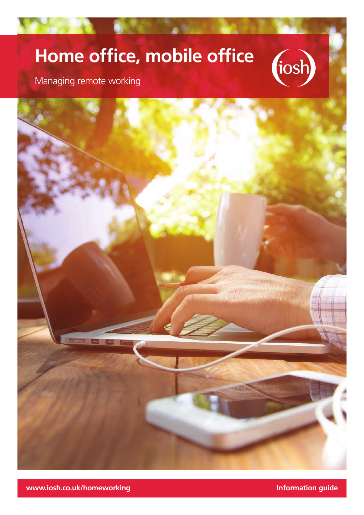# **Home office, mobile office**



Managing remote working



**www.iosh.co.uk/homeworking information guide**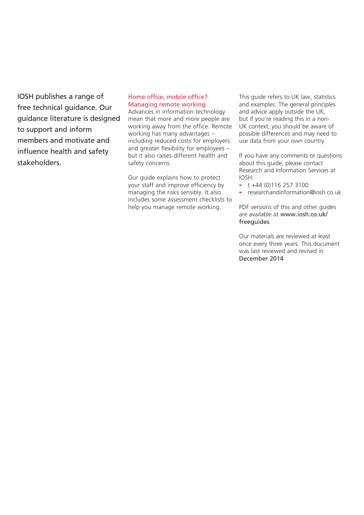IOSH publishes a range of free technical guidance. Our guidance literature is designed to support and inform members and motivate and influence health and safety stakeholders.

#### Home office, mobile office? Managing remote working

Advances in information technology mean that more and more people are working away from the office. Remote working has many advantages – including reduced costs for employers and greater flexibility for employees – but it also raises different health and safety concerns.

Our guide explains how to protect your staff and improve efficiency by managing the risks sensibly. It also includes some assessment checklists to help you manage remote working.

This guide refers to UK law, statistics and examples. The general principles and advice apply outside the UK, but if you're reading this in a non-UK context, you should be aware of possible differences and may need to use data from your own country.

If you have any comments or questions about this guide, please contact Research and Information Services at IOSH:

- $-t + 44 (0)116 257 3100$
- [researchandinformation@iosh.co.uk](mailto:?subject=)

PDF versions of this and other guides are available at [www.iosh.co.uk/](http://www.iosh.co.uk/freeguides)  [freeguides](http://www.iosh.co.uk/freeguides).

Our materials are reviewed at least once every three years. This document was last reviewed and revised in December 2014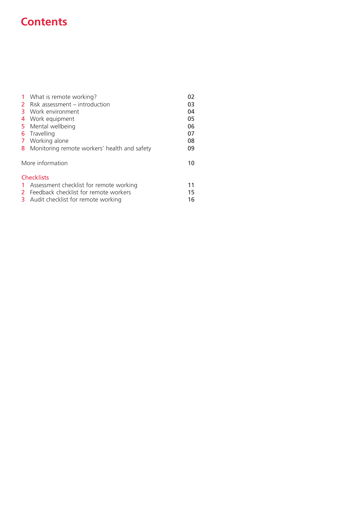# **Contents**

|     | 1 What is remote working?                      | 02 |
|-----|------------------------------------------------|----|
|     | 2 Risk assessment – introduction               | 03 |
| 3.  | Work environment                               | 04 |
| 4   | Work equipment                                 | 05 |
|     | 5 Mental wellbeing                             | 06 |
|     | <b>6</b> Travelling                            | 07 |
|     | 7 Working alone                                | 08 |
|     | 8 Monitoring remote workers' health and safety | 09 |
|     | More information                               | 10 |
|     | <b>Checklists</b>                              |    |
| -1. | Assessment checklist for remote working        | 11 |
|     | 2 Feedback checklist for remote workers        | 15 |
|     | <b>3</b> Audit checklist for remote working    | 16 |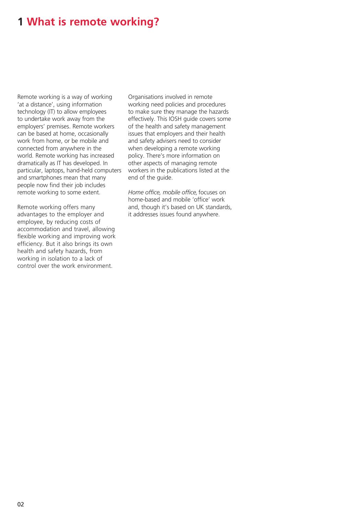### **1 What is remote working?**

Remote working is a way of working 'at a distance', using information technology (IT) to allow employees to undertake work away from the employers' premises. Remote workers can be based at home, occasionally work from home, or be mobile and connected from anywhere in the world. Remote working has increased dramatically as IT has developed. In particular, laptops, hand-held computers and smartphones mean that many people now find their job includes remote working to some extent.

Remote working offers many advantages to the employer and employee, by reducing costs of accommodation and travel, allowing flexible working and improving work efficiency. But it also brings its own health and safety hazards, from working in isolation to a lack of control over the work environment.

Organisations involved in remote working need policies and procedures to make sure they manage the hazards effectively. This IOSH guide covers some of the health and safety management issues that employers and their health and safety advisers need to consider when developing a remote working policy. There's more information on other aspects of managing remote workers in the publications listed at the end of the guide.

*Home office, mobile office,* focuses on home-based and mobile 'office' work and, though it's based on UK standards, it addresses issues found anywhere.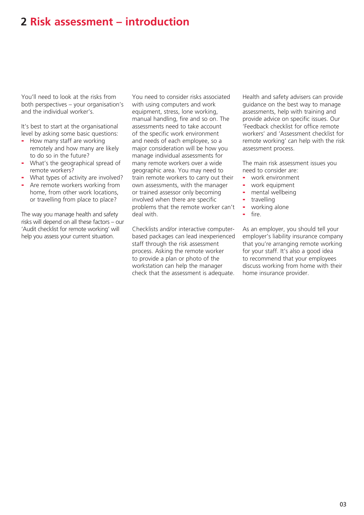### **2 Risk assessment – introduction**

You'll need to look at the risks from both perspectives – your organisation's and the individual worker's.

It's best to start at the organisational level by asking some basic questions:

- How many staff are working remotely and how many are likely to do so in the future?
- What's the geographical spread of remote workers?
- What types of activity are involved?
- Are remote workers working from home, from other work locations, or travelling from place to place?

The way you manage health and safety risks will depend on all these factors – our 'Audit checklist for remote working' will help you assess your current situation.

You need to consider risks associated with using computers and work equipment, stress, lone working, manual handling, fire and so on. The assessments need to take account of the specific work environment and needs of each employee, so a major consideration will be how you manage individual assessments for many remote workers over a wide geographic area. You may need to train remote workers to carry out their own assessments, with the manager or trained assessor only becoming involved when there are specific problems that the remote worker can't deal with.

Checklists and/or interactive computerbased packages can lead inexperienced staff through the risk assessment process. Asking the remote worker to provide a plan or photo of the workstation can help the manager check that the assessment is adequate. Health and safety advisers can provide guidance on the best way to manage assessments, help with training and provide advice on specific issues. Our 'Feedback checklist for office remote workers' and 'Assessment checklist for remote working' can help with the risk assessment process.

The main risk assessment issues you need to consider are:

- work environment
- work equipment
- mental wellbeing
- travelling
- working alone
- fire.

As an employer, you should tell your employer's liability insurance company that you're arranging remote working for your staff. It's also a good idea to recommend that your employees discuss working from home with their home insurance provider.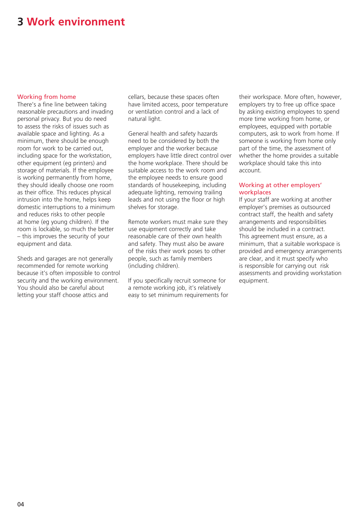### **3 Work environment**

#### Working from home

There's a fine line between taking reasonable precautions and invading personal privacy. But you do need to assess the risks of issues such as available space and lighting. As a minimum, there should be enough room for work to be carried out, including space for the workstation, other equipment (eg printers) and storage of materials. If the employee is working permanently from home, they should ideally choose one room as their office. This reduces physical intrusion into the home, helps keep domestic interruptions to a minimum and reduces risks to other people at home (eg young children). If the room is lockable, so much the better – this improves the security of your equipment and data.

Sheds and garages are not generally recommended for remote working because it's often impossible to control security and the working environment. You should also be careful about letting your staff choose attics and

cellars, because these spaces often have limited access, poor temperature or ventilation control and a lack of natural light.

General health and safety hazards need to be considered by both the employer and the worker because employers have little direct control over the home workplace. There should be suitable access to the work room and the employee needs to ensure good standards of housekeeping, including adequate lighting, removing trailing leads and not using the floor or high shelves for storage.

Remote workers must make sure they use equipment correctly and take reasonable care of their own health and safety. They must also be aware of the risks their work poses to other people, such as family members (including children).

If you specifically recruit someone for a remote working job, it's relatively easy to set minimum requirements for their workspace. More often, however, employers try to free up office space by asking existing employees to spend more time working from home, or employees, equipped with portable computers, ask to work from home. If someone is working from home only part of the time, the assessment of whether the home provides a suitable workplace should take this into account.

#### Working at other employers' workplaces

If your staff are working at another employer's premises as outsourced contract staff, the health and safety arrangements and responsibilities should be included in a contract. This agreement must ensure, as a minimum, that a suitable workspace is provided and emergency arrangements are clear, and it must specify who is responsible for carrying out risk assessments and providing workstation equipment.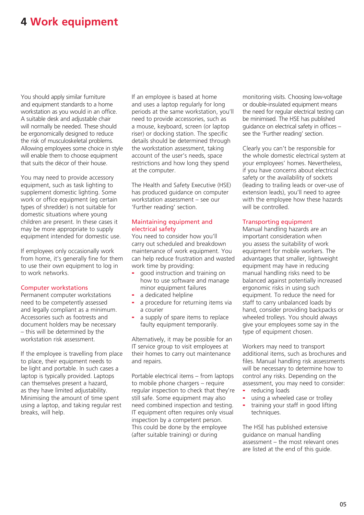# **4 Work equipment**

You should apply similar furniture and equipment standards to a home workstation as you would in an office. A suitable desk and adjustable chair will normally be needed. These should be ergonomically designed to reduce the risk of musculoskeletal problems. Allowing employees some choice in style will enable them to choose equipment that suits the décor of their house.

You may need to provide accessory equipment, such as task lighting to supplement domestic lighting. Some work or office equipment (eg certain types of shredder) is not suitable for domestic situations where young children are present. In these cases it may be more appropriate to supply equipment intended for domestic use.

If employees only occasionally work from home, it's generally fine for them to use their own equipment to log in to work networks.

#### Computer workstations

Permanent computer workstations need to be competently assessed and legally compliant as a minimum. Accessories such as footrests and document holders may be necessary – this will be determined by the workstation risk assessment.

If the employee is travelling from place to place, their equipment needs to be light and portable. In such cases a laptop is typically provided. Laptops can themselves present a hazard, as they have limited adjustability. Minimising the amount of time spent using a laptop, and taking regular rest breaks, will help.

If an employee is based at home and uses a laptop regularly for long periods at the same workstation, you'll need to provide accessories, such as a mouse, keyboard, screen (or laptop riser) or docking station. The specific details should be determined through the workstation assessment, taking account of the user's needs, space restrictions and how long they spend at the computer.

The Health and Safety Executive (HSE) has produced guidance on computer workstation assessment – see our 'Further reading' section.

#### Maintaining equipment and electrical safety

You need to consider how you'll carry out scheduled and breakdown maintenance of work equipment. You can help reduce frustration and wasted work time by providing:

- good instruction and training on how to use software and manage minor equipment failures
- a dedicated helpline
- a procedure for returning items via a courier
- a supply of spare items to replace faulty equipment temporarily.

Alternatively, it may be possible for an IT service group to visit employees at their homes to carry out maintenance and repairs.

Portable electrical items – from laptops to mobile phone chargers – require regular inspection to check that they're still safe. Some equipment may also need combined inspection and testing. IT equipment often requires only visual inspection by a competent person. This could be done by the employee (after suitable training) or during

monitoring visits. Choosing low-voltage or double-insulated equipment means the need for regular electrical testing can be minimised. The HSE has published guidance on electrical safety in offices – see the 'Further reading' section.

Clearly you can't be responsible for the whole domestic electrical system at your employees' homes. Nevertheless, if you have concerns about electrical safety or the availability of sockets (leading to trailing leads or over-use of extension leads), you'll need to agree with the employee how these hazards will be controlled

#### Transporting equipment

Manual handling hazards are an important consideration when you assess the suitability of work equipment for mobile workers. The advantages that smaller, lightweight equipment may have in reducing manual handling risks need to be balanced against potentially increased ergonomic risks in using such equipment. To reduce the need for staff to carry unbalanced loads by hand, consider providing backpacks or wheeled trolleys. You should always give your employees some say in the type of equipment chosen.

Workers may need to transport additional items, such as brochures and files. Manual handling risk assessments will be necessary to determine how to control any risks. Depending on the assessment, you may need to consider:

- reducing loads
- using a wheeled case or trolley
- training your staff in good lifting techniques.

The HSE has published extensive guidance on manual handling assessment – the most relevant ones are listed at the end of this guide.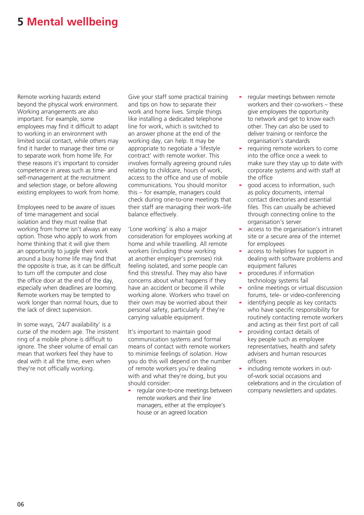### **5 Mental wellbeing**

Remote working hazards extend beyond the physical work environment. Working arrangements are also important. For example, some employees may find it difficult to adapt to working in an environment with limited social contact, while others may find it harder to manage their time or to separate work from home life. For these reasons it's important to consider competence in areas such as time- and self-management at the recruitment and selection stage, or before allowing existing employees to work from home.

Employees need to be aware of issues of time management and social isolation and they must realise that working from home isn't always an easy option. Those who apply to work from home thinking that it will give them an opportunity to juggle their work around a busy home life may find that the opposite is true, as it can be difficult to turn off the computer and close the office door at the end of the day, especially when deadlines are looming. Remote workers may be tempted to work longer than normal hours, due to the lack of direct supervision.

In some ways, '24/7 availability' is a curse of the modern age. The insistent ring of a mobile phone is difficult to ignore. The sheer volume of email can mean that workers feel they have to deal with it all the time, even when they're not officially working.

Give your staff some practical training and tips on how to separate their work and home lives. Simple things like installing a dedicated telephone line for work, which is switched to an answer phone at the end of the working day, can help. It may be appropriate to negotiate a 'lifestyle contract' with remote worker. This involves formally agreeing ground rules relating to childcare, hours of work, access to the office and use of mobile communications. You should monitor this – for example, managers could check during one-to-one meetings that their staff are managing their work–life balance effectively.

'Lone working' is also a major consideration for employees working at home and while travelling. All remote workers (including those working at another employer's premises) risk feeling isolated, and some people can find this stressful. They may also have concerns about what happens if they have an accident or become ill while working alone. Workers who travel on their own may be worried about their personal safety, particularly if they're carrying valuable equipment.

It's important to maintain good communication systems and formal means of contact with remote workers to minimise feelings of isolation. How you do this will depend on the number of remote workers you're dealing with and what they're doing, but you should consider:

regular one-to-one meetings between remote workers and their line managers, either at the employee's house or an agreed location

- regular meetings between remote workers and their co-workers – these give employees the opportunity to network and get to know each other. They can also be used to deliver training or reinforce the organisation's standards
- requiring remote workers to come into the office once a week to make sure they stay up to date with corporate systems and with staff at the office
- good access to information, such as policy documents, internal contact directories and essential files. This can usually be achieved through connecting online to the organisation's server
- access to the organisation's intranet site or a secure area of the internet for employees
- access to helplines for support in dealing with software problems and equipment failures
- procedures if information technology systems fail
- online meetings or virtual discussion forums, tele- or video-conferencing
- identifying people as key contacts who have specific responsibility for routinely contacting remote workers and acting as their first port of call
- providing contact details of key people such as employee representatives, health and safety advisers and human resources officers
- including remote workers in outof-work social occasions and celebrations and in the circulation of company newsletters and updates.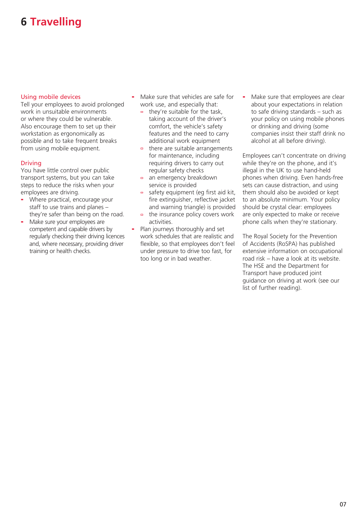# **6 Travelling**

#### Using mobile devices

Tell your employees to avoid prolonged work in unsuitable environments or where they could be vulnerable. Also encourage them to set up their workstation as ergonomically as possible and to take frequent breaks from using mobile equipment.

#### Driving

You have little control over public transport systems, but you can take steps to reduce the risks when your employees are driving.

- Where practical, encourage your staff to use trains and planes – they're safer than being on the road.
- Make sure your employees are competent and capable drivers by regularly checking their driving licences and, where necessary, providing driver training or health checks.
- Make sure that vehicles are safe for work use, and especially that:
	- they're suitable for the task, taking account of the driver's comfort, the vehicle's safety features and the need to carry additional work equipment
	- there are suitable arrangements  $\Box$ for maintenance, including requiring drivers to carry out regular safety checks
	- an emergency breakdown  $\Box$ service is provided
	- safety equipment (eg first aid kit, fire extinguisher, reflective jacket and warning triangle) is provided
	- $\blacksquare$ the insurance policy covers work activities.
- Plan journeys thoroughly and set work schedules that are realistic and flexible, so that employees don't feel under pressure to drive too fast, for too long or in bad weather.

- Make sure that employees are clear about your expectations in relation to safe driving standards – such as your policy on using mobile phones or drinking and driving (some companies insist their staff drink no alcohol at all before driving).

Employees can't concentrate on driving while they're on the phone, and it's illegal in the UK to use hand-held phones when driving. Even hands-free sets can cause distraction, and using them should also be avoided or kept to an absolute minimum. Your policy should be crystal clear: employees are only expected to make or receive phone calls when they're stationary.

The Royal Society for the Prevention of Accidents (RoSPA) has published extensive information on occupational road risk – have a look at its website. The HSE and the Department for Transport have produced joint guidance on driving at work (see our list of further reading).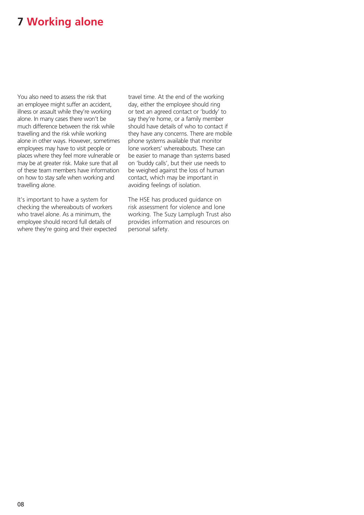# **7 Working alone**

You also need to assess the risk that an employee might suffer an accident, illness or assault while they're working alone. In many cases there won't be much difference between the risk while travelling and the risk while working alone in other ways. However, sometimes employees may have to visit people or places where they feel more vulnerable or may be at greater risk. Make sure that all of these team members have information on how to stay safe when working and travelling alone.

It's important to have a system for checking the whereabouts of workers who travel alone. As a minimum, the employee should record full details of where they're going and their expected travel time. At the end of the working day, either the employee should ring or text an agreed contact or 'buddy' to say they're home, or a family member should have details of who to contact if they have any concerns. There are mobile phone systems available that monitor lone workers' whereabouts. These can be easier to manage than systems based on 'buddy calls', but their use needs to be weighed against the loss of human contact, which may be important in avoiding feelings of isolation.

The HSE has produced guidance on risk assessment for violence and lone working. The Suzy Lamplugh Trust also provides information and resources on personal safety.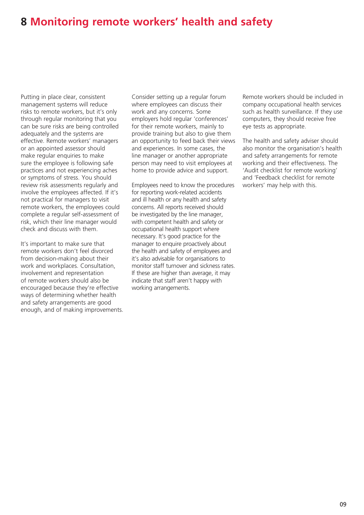## **8 Monitoring remote workers' health and safety**

Putting in place clear, consistent management systems will reduce risks to remote workers, but it's only through regular monitoring that you can be sure risks are being controlled adequately and the systems are effective. Remote workers' managers or an appointed assessor should make regular enquiries to make sure the employee is following safe practices and not experiencing aches or symptoms of stress. You should review risk assessments regularly and involve the employees affected. If it's not practical for managers to visit remote workers, the employees could complete a regular self-assessment of risk, which their line manager would check and discuss with them.

It's important to make sure that remote workers don't feel divorced from decision-making about their work and workplaces. Consultation, involvement and representation of remote workers should also be encouraged because they're effective ways of determining whether health and safety arrangements are good enough, and of making improvements. Consider setting up a regular forum where employees can discuss their work and any concerns. Some employers hold regular 'conferences' for their remote workers, mainly to provide training but also to give them an opportunity to feed back their views and experiences. In some cases, the line manager or another appropriate person may need to visit employees at home to provide advice and support.

Employees need to know the procedures for reporting work-related accidents and ill health or any health and safety concerns. All reports received should be investigated by the line manager, with competent health and safety or occupational health support where necessary. It's good practice for the manager to enquire proactively about the health and safety of employees and it's also advisable for organisations to monitor staff turnover and sickness rates. If these are higher than average, it may indicate that staff aren't happy with working arrangements.

Remote workers should be included in company occupational health services such as health surveillance. If they use computers, they should receive free eye tests as appropriate.

The health and safety adviser should also monitor the organisation's health and safety arrangements for remote working and their effectiveness. The 'Audit checklist for remote working' and 'Feedback checklist for remote workers' may help with this.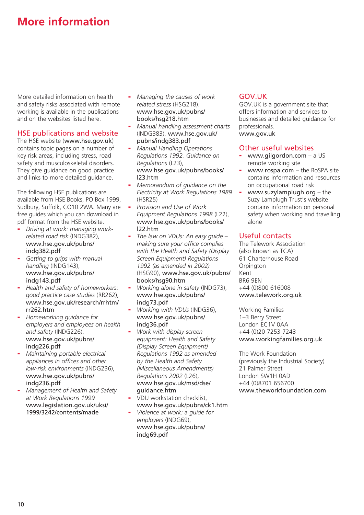# **More information**

More detailed information on health and safety risks associated with remote working is available in the publications and on the websites listed here.

#### HSE publications and website

The HSE website ([www.hse.gov.uk](http://www.hse.gov.uk)) contains topic pages on a number of key risk areas, including stress, road safety and musculoskeletal disorders. They give guidance on good practice and links to more detailed guidance.

The following HSE publications are available from HSE Books, PO Box 1999, Sudbury, Suffolk, CO10 2WA. Many are free guides which you can download in pdf format from the HSE website.

- *Driving at work: managing workrelated road risk* (INDG382), [www.hse.gov.uk/pubns/](http://www.hse.gov.uk/pubns/indg382.pdf)  [indg382.pdf](http://www.hse.gov.uk/pubns/indg382.pdf)
- *Getting to grips with manual handling* (INDG143), [www.hse.gov.uk/pubns/](http://www.hse.gov.uk/pubns/indg143.pdf)  [indg143.pdf](http://www.hse.gov.uk/pubns/indg143.pdf)
- *Health and safety of homeworkers: good practice case studies* (RR262), [www.hse.gov.uk/research/rrhtm/](http://www.hse.gov.uk/research/rrhtm/rr262.htm)  [rr262.htm](http://www.hse.gov.uk/research/rrhtm/rr262.htm)
- *Homeworking guidance for employers and employees on health and safety* (INDG226), [www.hse.gov.uk/pubns/](http://www.hse.gov.uk/pubns/indg226.pdf)  [indg226.pdf](http://www.hse.gov.uk/pubns/indg226.pdf)
- *Maintaining portable electrical appliances in offices and other low-risk environments* (INDG236), [www.hse.gov.uk/pubns/](http://www.hse.gov.uk/pubns/indg236.pdf)  [indg236.pdf](http://www.hse.gov.uk/pubns/indg236.pdf)
- *Management of Health and Safety at Work Regulations 1999*  [www.legislation.gov.uk/uksi/](http://www.legislation.gov.uk/uksi/1999/3242/contents/made)  [1999/3242/contents/made](http://www.legislation.gov.uk/uksi/1999/3242/contents/made)
- *Managing the causes of work related stress* (HSG218). [www.hse.gov.uk/pubns/](http://www.hse.gov.uk/pubns/books/hsg218.htm)  [books/hsg218.htm](http://www.hse.gov.uk/pubns/books/hsg218.htm)
- *Manual handling assessment charts* (INDG383), [www.hse.gov.uk/](http://www.hse.gov.uk/pubns/indg383.pdf)  [pubns/indg383.pdf](http://www.hse.gov.uk/pubns/indg383.pdf)
- *Manual Handling Operations Regulations 1992. Guidance on Regulations* (L23), [www.hse.gov.uk/pubns/books/](http://www.hse.gov.uk/pubns/books/l23.htm)  [l23.htm](http://www.hse.gov.uk/pubns/books/l23.htm)
- *Memorandum of guidance on the Electricity at Work Regulations 1989* (HSR25)
- *Provision and Use of Work Equipment Regulations 1998* (L22), [www.hse.gov.uk/pubns/books/](http://www.hse.gov.uk/pubns/books/l22.htm)  [l22.htm](http://www.hse.gov.uk/pubns/books/l22.htm)
- *The law on VDUs: An easy guide making sure your office complies with the Health and Safety (Display Screen Equipment) Regulations 1992 (as amended in 2002)* (HSG90), [www.hse.gov.uk/pubns/](http://www.hse.gov.uk/pubns/books/hsg90.htm)  [books/hsg90.htm](http://www.hse.gov.uk/pubns/books/hsg90.htm)
- *Working alone in safety* (INDG73), [www.hse.gov.uk/pubns/](http://www.hse.gov.uk/pubns/indg73.pdf)  [indg73.pdf](http://www.hse.gov.uk/pubns/indg73.pdf)
- *Working with VDUs* (INDG36), [www.hse.gov.uk/pubns/](http://www.hse.gov.uk/pubns/indg36.pdf)  [indg36.pdf](http://www.hse.gov.uk/pubns/indg36.pdf)
- *Work with display screen equipment: Health and Safety (Display Screen Equipment) Regulations 1992 as amended by the Health and Safety (Miscellaneous Amendments) Regulations 2002* (L26), [www.hse.gov.uk/msd/dse/](http://www.hse.gov.uk/msd/dse/guidance.htm)  [guidance.htm](http://www.hse.gov.uk/msd/dse/guidance.htm)
- VDU workstation checklist, [www.hse.gov.uk/pubns/ck1.htm](http://www.hse.gov.uk/pubns/ck1.htm)
- *Violence at work: a guide for employers* (INDG69), [www.hse.gov.uk/pubns/](http://www.hse.gov.uk/pubns/indg69.pdf)  [indg69.pdf](http://www.hse.gov.uk/pubns/indg69.pdf)

#### GOV.UK

GOV.UK is a government site that offers information and services to businesses and detailed guidance for professionals. [www.gov.uk](http://www.gov.uk)

#### Other useful websites

- [www.gilgordon.com](http://www.gilgordon.com) a US remote working site
- $www.rospa.com the RoSPA site$  $www.rospa.com the RoSPA site$ contains information and resources on occupational road risk
- [www.suzylamplugh.org](http://www.suzylamplugh.org) the Suzy Lamplugh Trust's website contains information on personal safety when working and travelling alone

#### Useful contacts

The Telework Association (also known as TCA) 61 Charterhouse Road **Orpington** Kent BR6 9EN +44 (0)800 616008 [www.telework.org.uk](http://www.telework.org.uk)

Working Families 1–3 Berry Street London EC1V 0AA +44 (0)20 7253 7243 [www.workingfamilies.org.uk](http://www.workingfamilies.org.uk)

The Work Foundation (previously the Industrial Society) 21 Palmer Street London SW1H 0AD +44 (0)8701 656700 [www.theworkfoundation.com](http://www.theworkfoundation.com)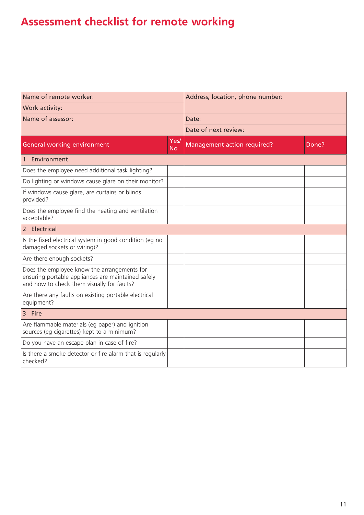# **Assessment checklist for remote working**

| Name of remote worker:                                                                                                                          |                   | Address, location, phone number: |       |  |
|-------------------------------------------------------------------------------------------------------------------------------------------------|-------------------|----------------------------------|-------|--|
| Work activity:                                                                                                                                  |                   |                                  |       |  |
| Name of assessor:                                                                                                                               |                   | Date:                            |       |  |
|                                                                                                                                                 |                   | Date of next review:             |       |  |
| <b>General working environment</b>                                                                                                              | Yes/<br><b>No</b> | Management action required?      | Done? |  |
| Environment<br>$\mathbf{1}$                                                                                                                     |                   |                                  |       |  |
| Does the employee need additional task lighting?                                                                                                |                   |                                  |       |  |
| Do lighting or windows cause glare on their monitor?                                                                                            |                   |                                  |       |  |
| If windows cause glare, are curtains or blinds<br>provided?                                                                                     |                   |                                  |       |  |
| Does the employee find the heating and ventilation<br>acceptable?                                                                               |                   |                                  |       |  |
| 2 Electrical                                                                                                                                    |                   |                                  |       |  |
| Is the fixed electrical system in good condition (eg no<br>damaged sockets or wiring)?                                                          |                   |                                  |       |  |
| Are there enough sockets?                                                                                                                       |                   |                                  |       |  |
| Does the employee know the arrangements for<br>ensuring portable appliances are maintained safely<br>and how to check them visually for faults? |                   |                                  |       |  |
| Are there any faults on existing portable electrical<br>equipment?                                                                              |                   |                                  |       |  |
| 3 Fire                                                                                                                                          |                   |                                  |       |  |
| Are flammable materials (eg paper) and ignition<br>sources (eq cigarettes) kept to a minimum?                                                   |                   |                                  |       |  |
| Do you have an escape plan in case of fire?                                                                                                     |                   |                                  |       |  |
| Is there a smoke detector or fire alarm that is regularly<br>checked?                                                                           |                   |                                  |       |  |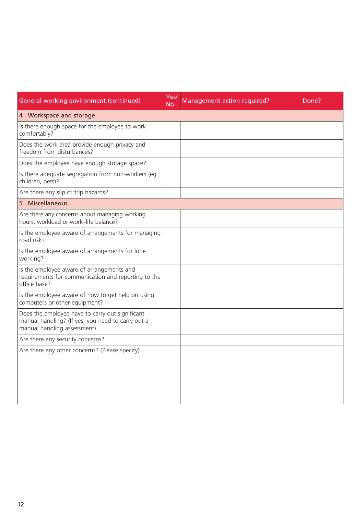| General working environment (continued)                                                                                             | Yes/<br><b>No</b> | Management action required? | Done? |  |
|-------------------------------------------------------------------------------------------------------------------------------------|-------------------|-----------------------------|-------|--|
| 4 Workspace and storage                                                                                                             |                   |                             |       |  |
| Is there enough space for the employee to work<br>comfortably?                                                                      |                   |                             |       |  |
| Does the work area provide enough privacy and<br>freedom from disturbances?                                                         |                   |                             |       |  |
| Does the employee have enough storage space?                                                                                        |                   |                             |       |  |
| Is there adequate segregation from non-workers (eg<br>children, pets)?                                                              |                   |                             |       |  |
| Are there any slip or trip hazards?                                                                                                 |                   |                             |       |  |
| 5 Miscellaneous                                                                                                                     |                   |                             |       |  |
| Are there any concerns about managing working<br>hours, workload or work-life balance?                                              |                   |                             |       |  |
| Is the employee aware of arrangements for managing<br>road risk?                                                                    |                   |                             |       |  |
| Is the employee aware of arrangements for lone<br>working?                                                                          |                   |                             |       |  |
| Is the employee aware of arrangements and<br>requirements for communication and reporting to the<br>office base?                    |                   |                             |       |  |
| Is the employee aware of how to get help on using<br>computers or other equipment?                                                  |                   |                             |       |  |
| Does the employee have to carry out significant<br>manual handling? (If yes, you need to carry out a<br>manual handling assessment) |                   |                             |       |  |
| Are there any security concerns?                                                                                                    |                   |                             |       |  |
| Are there any other concerns? (Please specify)                                                                                      |                   |                             |       |  |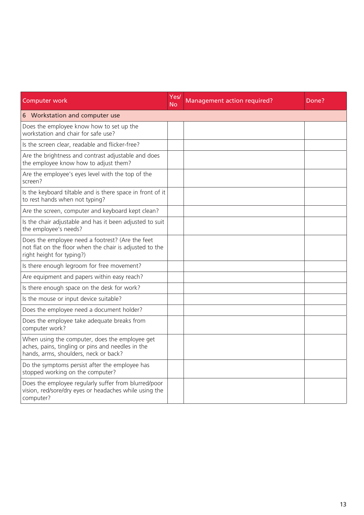| Computer work                                                                                                                                | Yes/<br><b>No</b> | Management action required? | Done? |
|----------------------------------------------------------------------------------------------------------------------------------------------|-------------------|-----------------------------|-------|
| 6 Workstation and computer use                                                                                                               |                   |                             |       |
| Does the employee know how to set up the<br>workstation and chair for safe use?                                                              |                   |                             |       |
| Is the screen clear, readable and flicker-free?                                                                                              |                   |                             |       |
| Are the brightness and contrast adjustable and does<br>the employee know how to adjust them?                                                 |                   |                             |       |
| Are the employee's eyes level with the top of the<br>screen?                                                                                 |                   |                             |       |
| Is the keyboard tiltable and is there space in front of it<br>to rest hands when not typing?                                                 |                   |                             |       |
| Are the screen, computer and keyboard kept clean?                                                                                            |                   |                             |       |
| Is the chair adjustable and has it been adjusted to suit<br>the employee's needs?                                                            |                   |                             |       |
| Does the employee need a footrest? (Are the feet<br>not flat on the floor when the chair is adjusted to the<br>right height for typing?)     |                   |                             |       |
| Is there enough legroom for free movement?                                                                                                   |                   |                             |       |
| Are equipment and papers within easy reach?                                                                                                  |                   |                             |       |
| Is there enough space on the desk for work?                                                                                                  |                   |                             |       |
| Is the mouse or input device suitable?                                                                                                       |                   |                             |       |
| Does the employee need a document holder?                                                                                                    |                   |                             |       |
| Does the employee take adequate breaks from<br>computer work?                                                                                |                   |                             |       |
| When using the computer, does the employee get<br>aches, pains, tingling or pins and needles in the<br>hands, arms, shoulders, neck or back? |                   |                             |       |
| Do the symptoms persist after the employee has<br>stopped working on the computer?                                                           |                   |                             |       |
| Does the employee regularly suffer from blurred/poor<br>vision, red/sore/dry eyes or headaches while using the<br>computer?                  |                   |                             |       |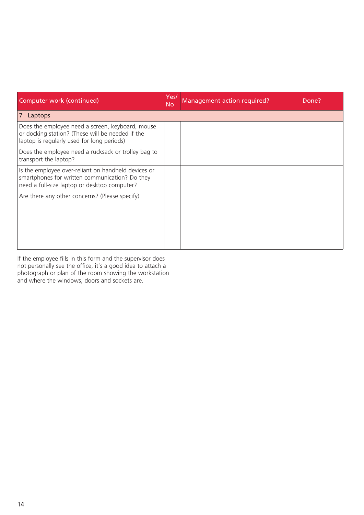| Computer work (continued)                                                                                                                             | Yes/<br><b>No</b> | Management action required? | Done? |
|-------------------------------------------------------------------------------------------------------------------------------------------------------|-------------------|-----------------------------|-------|
| 7 <sup>1</sup><br>Laptops                                                                                                                             |                   |                             |       |
| Does the employee need a screen, keyboard, mouse<br>or docking station? (These will be needed if the<br>laptop is regularly used for long periods)    |                   |                             |       |
| Does the employee need a rucksack or trolley bag to<br>transport the laptop?                                                                          |                   |                             |       |
| Is the employee over-reliant on handheld devices or<br>smartphones for written communication? Do they<br>need a full-size laptop or desktop computer? |                   |                             |       |
| Are there any other concerns? (Please specify)                                                                                                        |                   |                             |       |

If the employee fills in this form and the supervisor does not personally see the office, it's a good idea to attach a photograph or plan of the room showing the workstation and where the windows, doors and sockets are.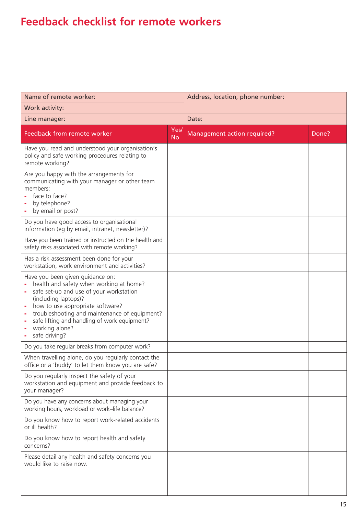# **Feedback checklist for remote workers**

| Name of remote worker:                                                                                                                                                                                                                                                                                                 |                   | Address, location, phone number: |       |  |
|------------------------------------------------------------------------------------------------------------------------------------------------------------------------------------------------------------------------------------------------------------------------------------------------------------------------|-------------------|----------------------------------|-------|--|
| Work activity:                                                                                                                                                                                                                                                                                                         |                   |                                  |       |  |
| Line manager:                                                                                                                                                                                                                                                                                                          |                   | Date:                            |       |  |
| Feedback from remote worker                                                                                                                                                                                                                                                                                            | Yes/<br><b>No</b> | Management action required?      | Done? |  |
| Have you read and understood your organisation's<br>policy and safe working procedures relating to<br>remote working?                                                                                                                                                                                                  |                   |                                  |       |  |
| Are you happy with the arrangements for<br>communicating with your manager or other team<br>members:<br>face to face?<br>by telephone?<br>by email or post?                                                                                                                                                            |                   |                                  |       |  |
| Do you have good access to organisational<br>information (eg by email, intranet, newsletter)?                                                                                                                                                                                                                          |                   |                                  |       |  |
| Have you been trained or instructed on the health and<br>safety risks associated with remote working?                                                                                                                                                                                                                  |                   |                                  |       |  |
| Has a risk assessment been done for your<br>workstation, work environment and activities?                                                                                                                                                                                                                              |                   |                                  |       |  |
| Have you been given guidance on:<br>health and safety when working at home?<br>safe set-up and use of your workstation<br>(including laptops)?<br>how to use appropriate software?<br>troubleshooting and maintenance of equipment?<br>safe lifting and handling of work equipment?<br>working alone?<br>safe driving? |                   |                                  |       |  |
| Do you take regular breaks from computer work?                                                                                                                                                                                                                                                                         |                   |                                  |       |  |
| When travelling alone, do you regularly contact the<br>office or a 'buddy' to let them know you are safe?                                                                                                                                                                                                              |                   |                                  |       |  |
| Do you regularly inspect the safety of your<br>workstation and equipment and provide feedback to<br>your manager?                                                                                                                                                                                                      |                   |                                  |       |  |
| Do you have any concerns about managing your<br>working hours, workload or work-life balance?                                                                                                                                                                                                                          |                   |                                  |       |  |
| Do you know how to report work-related accidents<br>or ill health?                                                                                                                                                                                                                                                     |                   |                                  |       |  |
| Do you know how to report health and safety<br>concerns?                                                                                                                                                                                                                                                               |                   |                                  |       |  |
| Please detail any health and safety concerns you<br>would like to raise now.                                                                                                                                                                                                                                           |                   |                                  |       |  |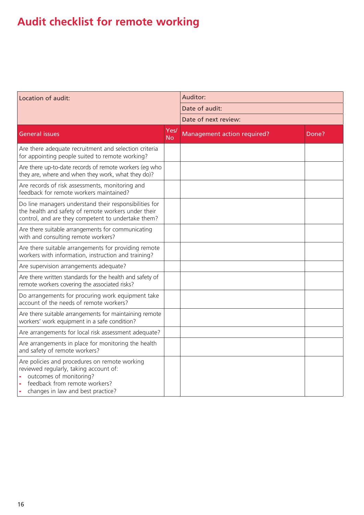# **Audit checklist for remote working**

| Location of audit:                                                                                                                                                                       |                   | Auditor:                    |       |  |
|------------------------------------------------------------------------------------------------------------------------------------------------------------------------------------------|-------------------|-----------------------------|-------|--|
|                                                                                                                                                                                          |                   | Date of audit:              |       |  |
|                                                                                                                                                                                          |                   | Date of next review:        |       |  |
| <b>General issues</b>                                                                                                                                                                    | Yes/<br><b>No</b> | Management action required? | Done? |  |
| Are there adequate recruitment and selection criteria<br>for appointing people suited to remote working?                                                                                 |                   |                             |       |  |
| Are there up-to-date records of remote workers (eg who<br>they are, where and when they work, what they do)?                                                                             |                   |                             |       |  |
| Are records of risk assessments, monitoring and<br>feedback for remote workers maintained?                                                                                               |                   |                             |       |  |
| Do line managers understand their responsibilities for<br>the health and safety of remote workers under their<br>control, and are they competent to undertake them?                      |                   |                             |       |  |
| Are there suitable arrangements for communicating<br>with and consulting remote workers?                                                                                                 |                   |                             |       |  |
| Are there suitable arrangements for providing remote<br>workers with information, instruction and training?                                                                              |                   |                             |       |  |
| Are supervision arrangements adequate?                                                                                                                                                   |                   |                             |       |  |
| Are there written standards for the health and safety of<br>remote workers covering the associated risks?                                                                                |                   |                             |       |  |
| Do arrangements for procuring work equipment take<br>account of the needs of remote workers?                                                                                             |                   |                             |       |  |
| Are there suitable arrangements for maintaining remote<br>workers' work equipment in a safe condition?                                                                                   |                   |                             |       |  |
| Are arrangements for local risk assessment adequate?                                                                                                                                     |                   |                             |       |  |
| Are arrangements in place for monitoring the health<br>and safety of remote workers?                                                                                                     |                   |                             |       |  |
| Are policies and procedures on remote working<br>reviewed regularly, taking account of:<br>outcomes of monitoring?<br>feedback from remote workers?<br>changes in law and best practice? |                   |                             |       |  |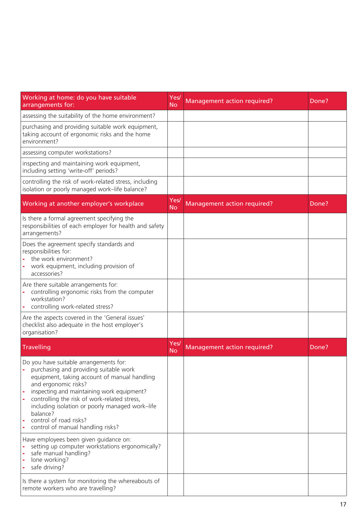| Working at home: do you have suitable<br>arrangements for:                                                                                                                                                                                                                                                                                                                           | Yes/<br>No        | Management action required?        | Done? |
|--------------------------------------------------------------------------------------------------------------------------------------------------------------------------------------------------------------------------------------------------------------------------------------------------------------------------------------------------------------------------------------|-------------------|------------------------------------|-------|
| assessing the suitability of the home environment?                                                                                                                                                                                                                                                                                                                                   |                   |                                    |       |
| purchasing and providing suitable work equipment,<br>taking account of ergonomic risks and the home<br>environment?                                                                                                                                                                                                                                                                  |                   |                                    |       |
| assessing computer workstations?                                                                                                                                                                                                                                                                                                                                                     |                   |                                    |       |
| inspecting and maintaining work equipment,<br>including setting 'write-off' periods?                                                                                                                                                                                                                                                                                                 |                   |                                    |       |
| controlling the risk of work-related stress, including<br>isolation or poorly managed work-life balance?                                                                                                                                                                                                                                                                             |                   |                                    |       |
| Working at another employer's workplace                                                                                                                                                                                                                                                                                                                                              | Yes/<br><b>No</b> | Management action required?        | Done? |
| Is there a formal agreement specifying the<br>responsibilities of each employer for health and safety<br>arrangements?                                                                                                                                                                                                                                                               |                   |                                    |       |
| Does the agreement specify standards and<br>responsibilities for:<br>the work environment?<br>work equipment, including provision of<br>accessories?                                                                                                                                                                                                                                 |                   |                                    |       |
| Are there suitable arrangements for:<br>controlling ergonomic risks from the computer<br>workstation?<br>controlling work-related stress?                                                                                                                                                                                                                                            |                   |                                    |       |
| Are the aspects covered in the 'General issues'<br>checklist also adequate in the host employer's<br>organisation?                                                                                                                                                                                                                                                                   |                   |                                    |       |
| Travelling                                                                                                                                                                                                                                                                                                                                                                           | Yes/<br><b>No</b> | <b>Management action required?</b> | Done? |
| Do you have suitable arrangements for:<br>purchasing and providing suitable work<br>equipment, taking account of manual handling<br>and ergonomic risks?<br>inspecting and maintaining work equipment?<br>controlling the risk of work-related stress,<br>including isolation or poorly managed work-life<br>balance?<br>control of road risks?<br>control of manual handling risks? |                   |                                    |       |
| Have employees been given guidance on:<br>setting up computer workstations ergonomically?<br>safe manual handling?<br>lone working?<br>safe driving?                                                                                                                                                                                                                                 |                   |                                    |       |
| Is there a system for monitoring the whereabouts of<br>remote workers who are travelling?                                                                                                                                                                                                                                                                                            |                   |                                    |       |